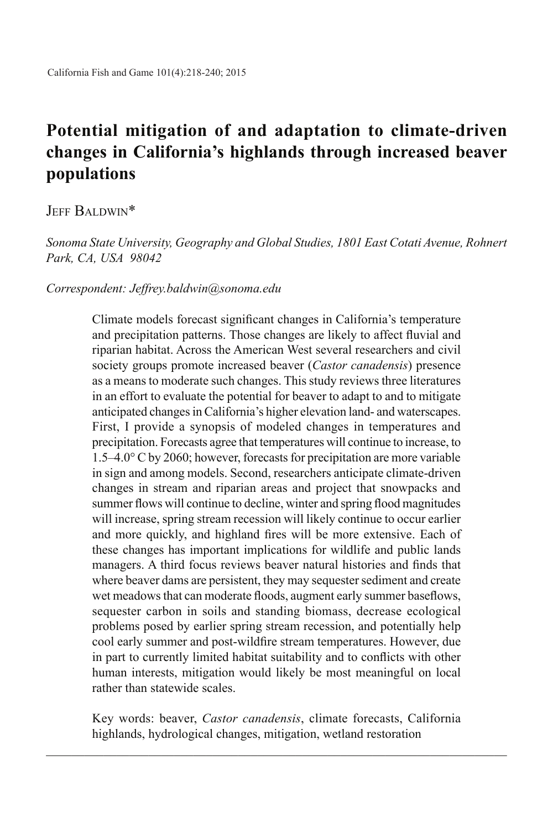# **Potential mitigation of and adaptation to climate-driven changes in California's highlands through increased beaver populations**

# Jeff Baldwin\*

*Sonoma State University, Geography and Global Studies, 1801 East Cotati Avenue, Rohnert Park, CA, USA 98042*

### *Correspondent: Jeffrey.baldwin@sonoma.edu*

Climate models forecast significant changes in California's temperature and precipitation patterns. Those changes are likely to affect fluvial and riparian habitat. Across the American West several researchers and civil society groups promote increased beaver (*Castor canadensis*) presence as a means to moderate such changes. This study reviews three literatures in an effort to evaluate the potential for beaver to adapt to and to mitigate anticipated changes in California's higher elevation land- and waterscapes. First, I provide a synopsis of modeled changes in temperatures and precipitation. Forecasts agree that temperatures will continue to increase, to 1.5–4.0° C by 2060; however, forecasts for precipitation are more variable in sign and among models. Second, researchers anticipate climate-driven changes in stream and riparian areas and project that snowpacks and summer flows will continue to decline, winter and spring flood magnitudes will increase, spring stream recession will likely continue to occur earlier and more quickly, and highland fires will be more extensive. Each of these changes has important implications for wildlife and public lands managers. A third focus reviews beaver natural histories and finds that where beaver dams are persistent, they may sequester sediment and create wet meadows that can moderate floods, augment early summer baseflows, sequester carbon in soils and standing biomass, decrease ecological problems posed by earlier spring stream recession, and potentially help cool early summer and post-wildfire stream temperatures. However, due in part to currently limited habitat suitability and to conflicts with other human interests, mitigation would likely be most meaningful on local rather than statewide scales.

Key words: beaver, *Castor canadensis*, climate forecasts, California highlands, hydrological changes, mitigation, wetland restoration  $\_$  , and the set of the set of the set of the set of the set of the set of the set of the set of the set of the set of the set of the set of the set of the set of the set of the set of the set of the set of the set of th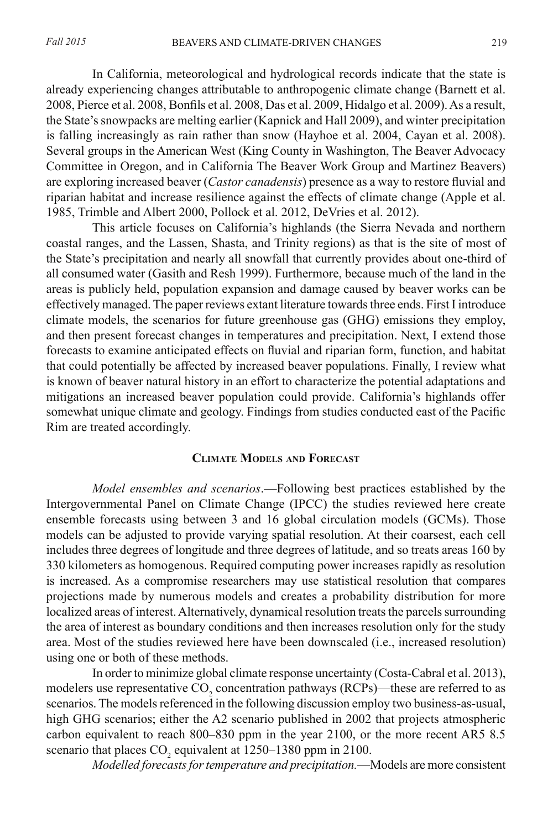In California, meteorological and hydrological records indicate that the state is already experiencing changes attributable to anthropogenic climate change (Barnett et al. 2008, Pierce et al. 2008, Bonfils et al. 2008, Das et al. 2009, Hidalgo et al. 2009). As a result, the State's snowpacks are melting earlier (Kapnick and Hall 2009), and winter precipitation is falling increasingly as rain rather than snow (Hayhoe et al. 2004, Cayan et al. 2008). Several groups in the American West (King County in Washington, The Beaver Advocacy Committee in Oregon, and in California The Beaver Work Group and Martinez Beavers) are exploring increased beaver (*Castor canadensis*) presence as a way to restore fluvial and riparian habitat and increase resilience against the effects of climate change (Apple et al. 1985, Trimble and Albert 2000, Pollock et al. 2012, DeVries et al. 2012).

This article focuses on California's highlands (the Sierra Nevada and northern coastal ranges, and the Lassen, Shasta, and Trinity regions) as that is the site of most of the State's precipitation and nearly all snowfall that currently provides about one-third of all consumed water (Gasith and Resh 1999). Furthermore, because much of the land in the areas is publicly held, population expansion and damage caused by beaver works can be effectively managed. The paper reviews extant literature towards three ends. First I introduce climate models, the scenarios for future greenhouse gas (GHG) emissions they employ, and then present forecast changes in temperatures and precipitation. Next, I extend those forecasts to examine anticipated effects on fluvial and riparian form, function, and habitat that could potentially be affected by increased beaver populations. Finally, I review what is known of beaver natural history in an effort to characterize the potential adaptations and mitigations an increased beaver population could provide. California's highlands offer somewhat unique climate and geology. Findings from studies conducted east of the Pacific Rim are treated accordingly.

## **Climate Models and Forecast**

*Model ensembles and scenarios*.—Following best practices established by the Intergovernmental Panel on Climate Change (IPCC) the studies reviewed here create ensemble forecasts using between 3 and 16 global circulation models (GCMs). Those models can be adjusted to provide varying spatial resolution. At their coarsest, each cell includes three degrees of longitude and three degrees of latitude, and so treats areas 160 by 330 kilometers as homogenous. Required computing power increases rapidly as resolution is increased. As a compromise researchers may use statistical resolution that compares projections made by numerous models and creates a probability distribution for more localized areas of interest. Alternatively, dynamical resolution treats the parcels surrounding the area of interest as boundary conditions and then increases resolution only for the study area. Most of the studies reviewed here have been downscaled (i.e., increased resolution) using one or both of these methods.

In order to minimize global climate response uncertainty (Costa-Cabral et al. 2013), modelers use representative  $\text{CO}_2$  concentration pathways (RCPs)—these are referred to as scenarios. The models referenced in the following discussion employ two business-as-usual, high GHG scenarios; either the A2 scenario published in 2002 that projects atmospheric carbon equivalent to reach 800–830 ppm in the year 2100, or the more recent AR5 8.5 scenario that places  $CO_2$  equivalent at 1250–1380 ppm in 2100.

*Modelled forecasts for temperature and precipitation.*—Models are more consistent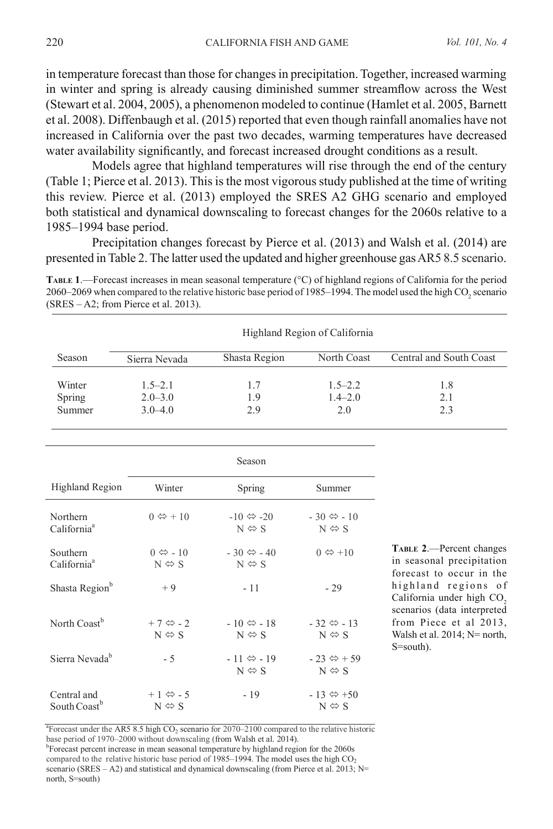in temperature forecast than those for changes in precipitation. Together, increased warming in winter and spring is already causing diminished summer streamflow across the West (Stewart et al. 2004, 2005), a phenomenon modeled to continue (Hamlet et al. 2005, Barnett et al. 2008). Diffenbaugh et al. (2015) reported that even though rainfall anomalies have not increased in California over the past two decades, warming temperatures have decreased water availability significantly, and forecast increased drought conditions as a result.

Models agree that highland temperatures will rise through the end of the century (Table 1; Pierce et al. 2013). This is the most vigorous study published at the time of writing this review. Pierce et al. (2013) employed the SRES A2 GHG scenario and employed both statistical and dynamical downscaling to forecast changes for the 2060s relative to a 1985–1994 base period.

Precipitation changes forecast by Pierce et al. (2013) and Walsh et al. (2014) are presented in Table 2. The latter used the updated and higher greenhouse gas AR5 8.5 scenario.

2060–2069 when compared to the relative historic base period of 1985–1994. The model used the high  $CO_2$  scenario **Table 1**.—Forecast increases in mean seasonal temperature (°C) of highland regions of California for the period (SRES – A2; from Pierce et al. 2013).

|                                         | Highland Region of California                    |                                                    |                                                                             |                                                                                          |  |  |
|-----------------------------------------|--------------------------------------------------|----------------------------------------------------|-----------------------------------------------------------------------------|------------------------------------------------------------------------------------------|--|--|
| Season                                  | Sierra Nevada                                    | Shasta Region                                      | North Coast                                                                 | Central and South Coast                                                                  |  |  |
| Winter                                  | $1.5 - 2.1$                                      | 1.7                                                | $1.5 - 2.2$                                                                 | 1.8                                                                                      |  |  |
| <b>Spring</b>                           | $2.0 - 3.0$                                      | 1.9                                                | $1.4 - 2.0$                                                                 | 2.1                                                                                      |  |  |
| Summer                                  | $3.0 - 4.0$                                      | 2.9                                                | 2.0                                                                         | 2.3                                                                                      |  |  |
|                                         |                                                  | Season                                             |                                                                             |                                                                                          |  |  |
| <b>Highland Region</b>                  | Winter                                           | Spring                                             | Summer                                                                      |                                                                                          |  |  |
| Northern                                | $0 \Leftrightarrow 10$                           | $-10 \Leftrightarrow -20$                          | $-30 \Leftrightarrow -10$                                                   |                                                                                          |  |  |
| California <sup>a</sup>                 |                                                  | $N \Leftrightarrow S$                              | $N \Leftrightarrow S$                                                       |                                                                                          |  |  |
| Southern<br>California <sup>a</sup>     | $0 \Leftrightarrow -10$<br>$N \Leftrightarrow S$ | $-30 \Leftrightarrow -40$<br>$N \Leftrightarrow S$ | $0 \Leftrightarrow +10$                                                     | <b>TABLE 2.</b> —Percent changes<br>in seasonal precipitation                            |  |  |
| Shasta Region <sup>b</sup>              | $+9$                                             | $-11$                                              | $-29$                                                                       | forecast to occur in the<br>highland regions of<br>California under high CO <sub>2</sub> |  |  |
| North Coast <sup>b</sup>                | $+7 \Leftrightarrow -2$<br>$N \Leftrightarrow S$ | $-10 \Leftrightarrow -18$<br>$N \Leftrightarrow S$ | $-32 \Leftrightarrow -13$<br>$N \Leftrightarrow S$                          | scenarios (data interpreted<br>from Piece et al 2013,<br>Walsh et al. $2014$ ; N= north, |  |  |
| Sierra Nevada <sup>b</sup>              | $-5$                                             | $-11 \Leftrightarrow -19$                          | $-23 \Leftrightarrow +59$                                                   | $S=$ south).                                                                             |  |  |
| Central and<br>South Coast <sup>b</sup> | $+1 \Leftrightarrow -5$<br>$N \Leftrightarrow S$ | $N \Leftrightarrow S$<br>$-19$                     | $N \Leftrightarrow S$<br>$-13 \Leftrightarrow +50$<br>$N \Leftrightarrow S$ |                                                                                          |  |  |

<sup>a</sup>Forecast under the AR5 8.5 high  $CO<sub>2</sub>$  scenario for 2070–2100 compared to the relative historic base period of 1970–2000 without downscaling (from Walsh et al. 2014).

<sup>b</sup>Forecast percent increase in mean seasonal temperature by highland region for the 2060s compared to the relative historic base period of 1985–1994. The model uses the high  $CO<sub>2</sub>$ scenario (SRES – A2) and statistical and dynamical downscaling (from Pierce et al. 2013;  $N=$ north, S=south)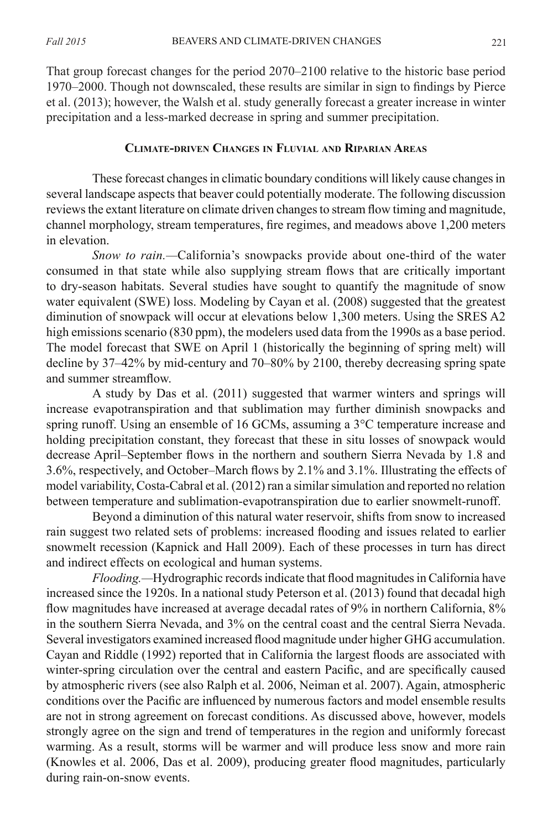That group forecast changes for the period 2070–2100 relative to the historic base period 1970–2000. Though not downscaled, these results are similar in sign to findings by Pierce et al. (2013); however, the Walsh et al. study generally forecast a greater increase in winter precipitation and a less-marked decrease in spring and summer precipitation.

### **Climate-driven Changes in Fluvial and Riparian Areas**

These forecast changes in climatic boundary conditions will likely cause changes in several landscape aspects that beaver could potentially moderate. The following discussion reviews the extant literature on climate driven changes to stream flow timing and magnitude, channel morphology, stream temperatures, fire regimes, and meadows above 1,200 meters in elevation.

*Snow to rain.—*California's snowpacks provide about one-third of the water consumed in that state while also supplying stream flows that are critically important to dry-season habitats. Several studies have sought to quantify the magnitude of snow water equivalent (SWE) loss. Modeling by Cayan et al. (2008) suggested that the greatest diminution of snowpack will occur at elevations below 1,300 meters. Using the SRES A2 high emissions scenario (830 ppm), the modelers used data from the 1990s as a base period. The model forecast that SWE on April 1 (historically the beginning of spring melt) will decline by 37–42% by mid-century and 70–80% by 2100, thereby decreasing spring spate and summer streamflow.

A study by Das et al. (2011) suggested that warmer winters and springs will increase evapotranspiration and that sublimation may further diminish snowpacks and spring runoff. Using an ensemble of 16 GCMs, assuming a 3°C temperature increase and holding precipitation constant, they forecast that these in situ losses of snowpack would decrease April–September flows in the northern and southern Sierra Nevada by 1.8 and 3.6%, respectively, and October–March flows by 2.1% and 3.1%. Illustrating the effects of model variability, Costa-Cabral et al. (2012) ran a similar simulation and reported no relation between temperature and sublimation-evapotranspiration due to earlier snowmelt-runoff.

Beyond a diminution of this natural water reservoir, shifts from snow to increased rain suggest two related sets of problems: increased flooding and issues related to earlier snowmelt recession (Kapnick and Hall 2009). Each of these processes in turn has direct and indirect effects on ecological and human systems.

*Flooding.—*Hydrographic records indicate that flood magnitudes in California have increased since the 1920s. In a national study Peterson et al. (2013) found that decadal high flow magnitudes have increased at average decadal rates of 9% in northern California, 8% in the southern Sierra Nevada, and 3% on the central coast and the central Sierra Nevada. Several investigators examined increased flood magnitude under higher GHG accumulation. Cayan and Riddle (1992) reported that in California the largest floods are associated with winter-spring circulation over the central and eastern Pacific, and are specifically caused by atmospheric rivers (see also Ralph et al. 2006, Neiman et al. 2007). Again, atmospheric conditions over the Pacific are influenced by numerous factors and model ensemble results are not in strong agreement on forecast conditions. As discussed above, however, models strongly agree on the sign and trend of temperatures in the region and uniformly forecast warming. As a result, storms will be warmer and will produce less snow and more rain (Knowles et al. 2006, Das et al. 2009), producing greater flood magnitudes, particularly during rain-on-snow events.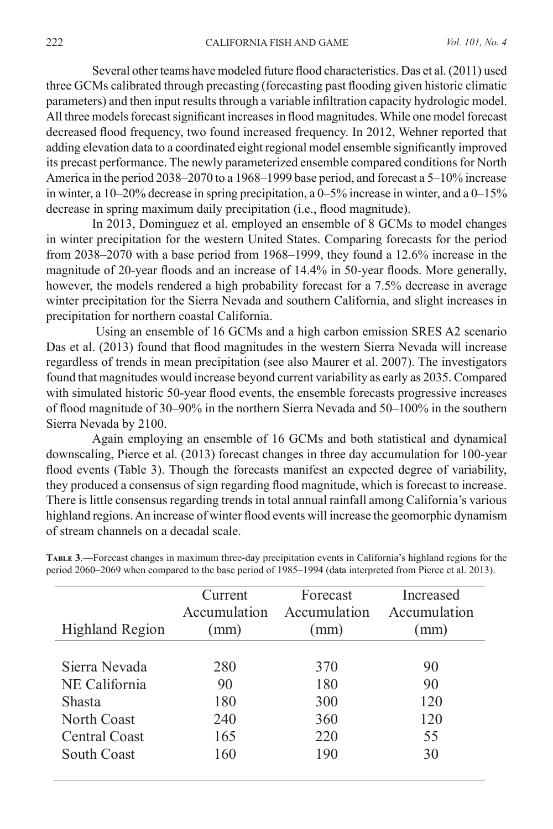Several other teams have modeled future flood characteristics. Das et al. (2011) used three GCMs calibrated through precasting (forecasting past flooding given historic climatic parameters) and then input results through a variable infiltration capacity hydrologic model. All three models forecast significant increases in flood magnitudes. While one model forecast decreased flood frequency, two found increased frequency. In 2012, Wehner reported that adding elevation data to a coordinated eight regional model ensemble significantly improved its precast performance. The newly parameterized ensemble compared conditions for North America in the period 2038–2070 to a 1968–1999 base period, and forecast a 5–10% increase in winter, a 10–20% decrease in spring precipitation, a 0–5% increase in winter, and a 0–15% decrease in spring maximum daily precipitation (i.e., flood magnitude).

In 2013, Dominguez et al. employed an ensemble of 8 GCMs to model changes in winter precipitation for the western United States. Comparing forecasts for the period from 2038–2070 with a base period from 1968–1999, they found a 12.6% increase in the magnitude of 20-year floods and an increase of 14.4% in 50-year floods. More generally, however, the models rendered a high probability forecast for a 7.5% decrease in average winter precipitation for the Sierra Nevada and southern California, and slight increases in precipitation for northern coastal California.

Using an ensemble of 16 GCMs and a high carbon emission SRES A2 scenario Das et al. (2013) found that flood magnitudes in the western Sierra Nevada will increase regardless of trends in mean precipitation (see also Maurer et al. 2007). The investigators found that magnitudes would increase beyond current variability as early as 2035. Compared with simulated historic 50-year flood events, the ensemble forecasts progressive increases of flood magnitude of 30–90% in the northern Sierra Nevada and 50–100% in the southern Sierra Nevada by 2100.

Again employing an ensemble of 16 GCMs and both statistical and dynamical downscaling, Pierce et al. (2013) forecast changes in three day accumulation for 100-year flood events (Table 3). Though the forecasts manifest an expected degree of variability, they produced a consensus of sign regarding flood magnitude, which is forecast to increase. There is little consensus regarding trends in total annual rainfall among California's various highland regions. An increase of winter flood events will increase the geomorphic dynamism of stream channels on a decadal scale.

| Highland Region | Current<br>Accumulation<br>(mm) | Forecast<br>Accumulation<br>(mm) | Increased<br>Accumulation<br>(mm) |
|-----------------|---------------------------------|----------------------------------|-----------------------------------|
| Sierra Nevada   | 280                             | 370                              | 90                                |
| NE California   | 90                              | 180                              | 90                                |
| <b>Shasta</b>   | 180                             | 300                              | 120                               |
| North Coast     | 240                             | 360                              | 120                               |
| Central Coast   | 165                             | 220                              | 55                                |
| South Coast     | 160                             | 190                              | 30                                |

**Table 3**.—Forecast changes in maximum three-day precipitation events in California's highland regions for the period 2060–2069 when compared to the base period of 1985–1994 (data interpreted from Pierce et al. 2013).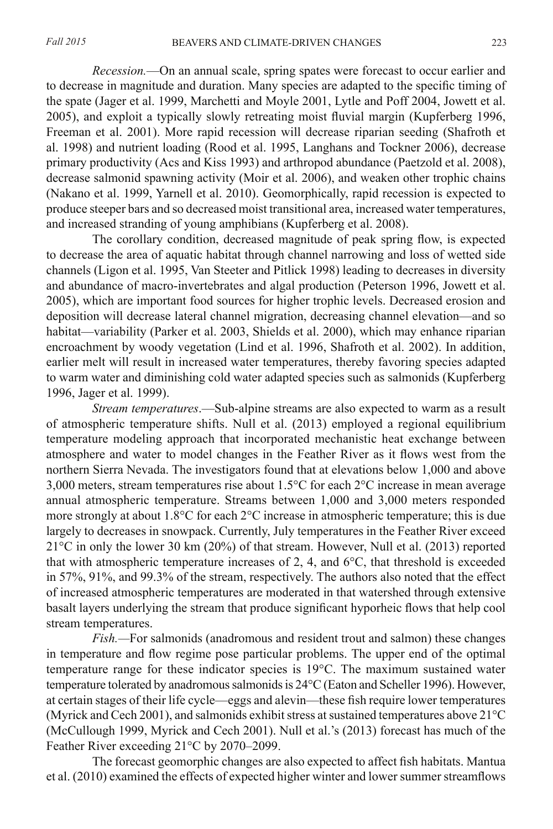*Recession.*—On an annual scale, spring spates were forecast to occur earlier and to decrease in magnitude and duration. Many species are adapted to the specific timing of the spate (Jager et al. 1999, Marchetti and Moyle 2001, Lytle and Poff 2004, Jowett et al. 2005), and exploit a typically slowly retreating moist fluvial margin (Kupferberg 1996, Freeman et al. 2001). More rapid recession will decrease riparian seeding (Shafroth et al. 1998) and nutrient loading (Rood et al. 1995, Langhans and Tockner 2006), decrease primary productivity (Acs and Kiss 1993) and arthropod abundance (Paetzold et al. 2008), decrease salmonid spawning activity (Moir et al. 2006), and weaken other trophic chains (Nakano et al. 1999, Yarnell et al. 2010). Geomorphically, rapid recession is expected to produce steeper bars and so decreased moist transitional area, increased water temperatures, and increased stranding of young amphibians (Kupferberg et al. 2008).

The corollary condition, decreased magnitude of peak spring flow, is expected to decrease the area of aquatic habitat through channel narrowing and loss of wetted side channels (Ligon et al. 1995, Van Steeter and Pitlick 1998) leading to decreases in diversity and abundance of macro-invertebrates and algal production (Peterson 1996, Jowett et al. 2005), which are important food sources for higher trophic levels. Decreased erosion and deposition will decrease lateral channel migration, decreasing channel elevation—and so habitat—variability (Parker et al. 2003, Shields et al. 2000), which may enhance riparian encroachment by woody vegetation (Lind et al. 1996, Shafroth et al. 2002). In addition, earlier melt will result in increased water temperatures, thereby favoring species adapted to warm water and diminishing cold water adapted species such as salmonids (Kupferberg 1996, Jager et al. 1999).

*Stream temperatures*.—Sub-alpine streams are also expected to warm as a result of atmospheric temperature shifts. Null et al. (2013) employed a regional equilibrium temperature modeling approach that incorporated mechanistic heat exchange between atmosphere and water to model changes in the Feather River as it flows west from the northern Sierra Nevada. The investigators found that at elevations below 1,000 and above 3,000 meters, stream temperatures rise about 1.5°C for each 2°C increase in mean average annual atmospheric temperature. Streams between 1,000 and 3,000 meters responded more strongly at about 1.8°C for each 2°C increase in atmospheric temperature; this is due largely to decreases in snowpack. Currently, July temperatures in the Feather River exceed 21°C in only the lower 30 km (20%) of that stream. However, Null et al. (2013) reported that with atmospheric temperature increases of 2, 4, and  $6^{\circ}$ C, that threshold is exceeded in 57%, 91%, and 99.3% of the stream, respectively. The authors also noted that the effect of increased atmospheric temperatures are moderated in that watershed through extensive basalt layers underlying the stream that produce significant hyporheic flows that help cool stream temperatures.

*Fish.—*For salmonids (anadromous and resident trout and salmon) these changes in temperature and flow regime pose particular problems. The upper end of the optimal temperature range for these indicator species is 19°C. The maximum sustained water temperature tolerated by anadromous salmonids is 24°C (Eaton and Scheller 1996). However, at certain stages of their life cycle—eggs and alevin—these fish require lower temperatures (Myrick and Cech 2001), and salmonids exhibit stress at sustained temperatures above 21°C (McCullough 1999, Myrick and Cech 2001). Null et al.'s (2013) forecast has much of the Feather River exceeding 21°C by 2070–2099.

The forecast geomorphic changes are also expected to affect fish habitats. Mantua et al. (2010) examined the effects of expected higher winter and lower summer streamflows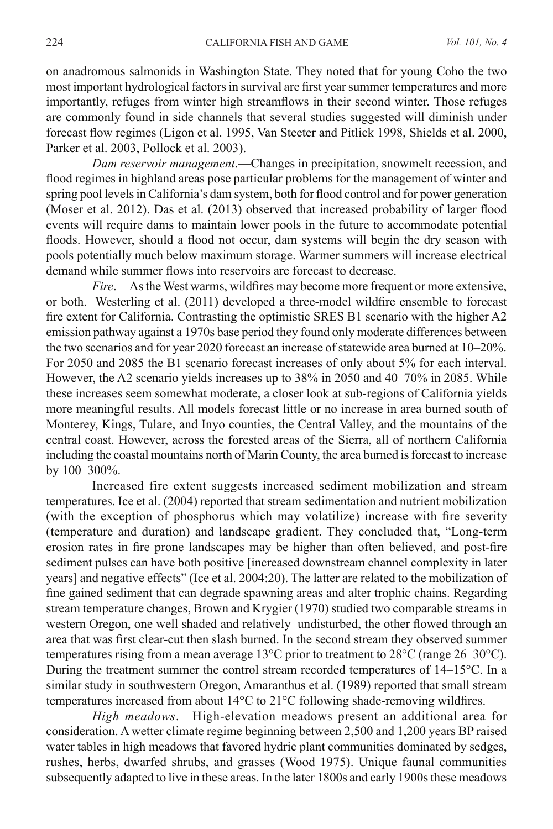on anadromous salmonids in Washington State. They noted that for young Coho the two most important hydrological factors in survival are first year summer temperatures and more importantly, refuges from winter high streamflows in their second winter. Those refuges are commonly found in side channels that several studies suggested will diminish under forecast flow regimes (Ligon et al. 1995, Van Steeter and Pitlick 1998, Shields et al. 2000, Parker et al. 2003, Pollock et al. 2003).

*Dam reservoir management*.—Changes in precipitation, snowmelt recession, and flood regimes in highland areas pose particular problems for the management of winter and spring pool levels in California's dam system, both for flood control and for power generation (Moser et al. 2012). Das et al. (2013) observed that increased probability of larger flood events will require dams to maintain lower pools in the future to accommodate potential floods. However, should a flood not occur, dam systems will begin the dry season with pools potentially much below maximum storage. Warmer summers will increase electrical demand while summer flows into reservoirs are forecast to decrease.

*Fire*.—As the West warms, wildfires may become more frequent or more extensive, or both. Westerling et al. (2011) developed a three-model wildfire ensemble to forecast fire extent for California. Contrasting the optimistic SRES B1 scenario with the higher A2 emission pathway against a 1970s base period they found only moderate differences between the two scenarios and for year 2020 forecast an increase of statewide area burned at 10–20%. For 2050 and 2085 the B1 scenario forecast increases of only about 5% for each interval. However, the A2 scenario yields increases up to 38% in 2050 and 40–70% in 2085. While these increases seem somewhat moderate, a closer look at sub-regions of California yields more meaningful results. All models forecast little or no increase in area burned south of Monterey, Kings, Tulare, and Inyo counties, the Central Valley, and the mountains of the central coast. However, across the forested areas of the Sierra, all of northern California including the coastal mountains north of Marin County, the area burned is forecast to increase by 100–300%.

Increased fire extent suggests increased sediment mobilization and stream temperatures. Ice et al. (2004) reported that stream sedimentation and nutrient mobilization (with the exception of phosphorus which may volatilize) increase with fire severity (temperature and duration) and landscape gradient. They concluded that, "Long-term erosion rates in fire prone landscapes may be higher than often believed, and post-fire sediment pulses can have both positive [increased downstream channel complexity in later years] and negative effects" (Ice et al. 2004:20). The latter are related to the mobilization of fine gained sediment that can degrade spawning areas and alter trophic chains. Regarding stream temperature changes, Brown and Krygier (1970) studied two comparable streams in western Oregon, one well shaded and relatively undisturbed, the other flowed through an area that was first clear-cut then slash burned. In the second stream they observed summer temperatures rising from a mean average 13°C prior to treatment to 28°C (range 26–30°C). During the treatment summer the control stream recorded temperatures of 14–15°C. In a similar study in southwestern Oregon, Amaranthus et al. (1989) reported that small stream temperatures increased from about 14°C to 21°C following shade-removing wildfires.

*High meadows*.—High-elevation meadows present an additional area for consideration. A wetter climate regime beginning between 2,500 and 1,200 years BP raised water tables in high meadows that favored hydric plant communities dominated by sedges, rushes, herbs, dwarfed shrubs, and grasses (Wood 1975). Unique faunal communities subsequently adapted to live in these areas. In the later 1800s and early 1900s these meadows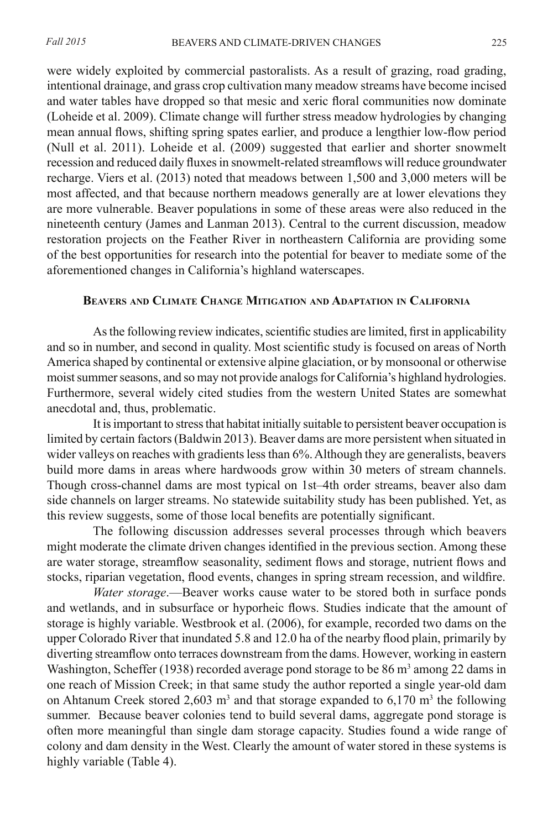were widely exploited by commercial pastoralists. As a result of grazing, road grading, intentional drainage, and grass crop cultivation many meadow streams have become incised and water tables have dropped so that mesic and xeric floral communities now dominate (Loheide et al. 2009). Climate change will further stress meadow hydrologies by changing mean annual flows, shifting spring spates earlier, and produce a lengthier low-flow period (Null et al. 2011). Loheide et al. (2009) suggested that earlier and shorter snowmelt recession and reduced daily fluxes in snowmelt-related streamflows will reduce groundwater recharge. Viers et al. (2013) noted that meadows between 1,500 and 3,000 meters will be most affected, and that because northern meadows generally are at lower elevations they are more vulnerable. Beaver populations in some of these areas were also reduced in the nineteenth century (James and Lanman 2013). Central to the current discussion, meadow restoration projects on the Feather River in northeastern California are providing some of the best opportunities for research into the potential for beaver to mediate some of the aforementioned changes in California's highland waterscapes.

### **Beavers and Climate Change Mitigation and Adaptation in California**

As the following review indicates, scientific studies are limited, first in applicability and so in number, and second in quality. Most scientific study is focused on areas of North America shaped by continental or extensive alpine glaciation, or by monsoonal or otherwise moist summer seasons, and so may not provide analogs for California's highland hydrologies. Furthermore, several widely cited studies from the western United States are somewhat anecdotal and, thus, problematic.

It is important to stress that habitat initially suitable to persistent beaver occupation is limited by certain factors (Baldwin 2013). Beaver dams are more persistent when situated in wider valleys on reaches with gradients less than 6%. Although they are generalists, beavers build more dams in areas where hardwoods grow within 30 meters of stream channels. Though cross-channel dams are most typical on 1st–4th order streams, beaver also dam side channels on larger streams. No statewide suitability study has been published. Yet, as this review suggests, some of those local benefits are potentially significant.

The following discussion addresses several processes through which beavers might moderate the climate driven changes identified in the previous section. Among these are water storage, streamflow seasonality, sediment flows and storage, nutrient flows and stocks, riparian vegetation, flood events, changes in spring stream recession, and wildfire.

*Water storage*.—Beaver works cause water to be stored both in surface ponds and wetlands, and in subsurface or hyporheic flows. Studies indicate that the amount of storage is highly variable. Westbrook et al. (2006), for example, recorded two dams on the upper Colorado River that inundated 5.8 and 12.0 ha of the nearby flood plain, primarily by diverting streamflow onto terraces downstream from the dams. However, working in eastern Washington, Scheffer (1938) recorded average pond storage to be  $86 \text{ m}^3$  among 22 dams in one reach of Mission Creek; in that same study the author reported a single year-old dam on Ahtanum Creek stored 2,603  $m<sup>3</sup>$  and that storage expanded to 6,170  $m<sup>3</sup>$  the following summer. Because beaver colonies tend to build several dams, aggregate pond storage is often more meaningful than single dam storage capacity. Studies found a wide range of colony and dam density in the West. Clearly the amount of water stored in these systems is highly variable (Table 4).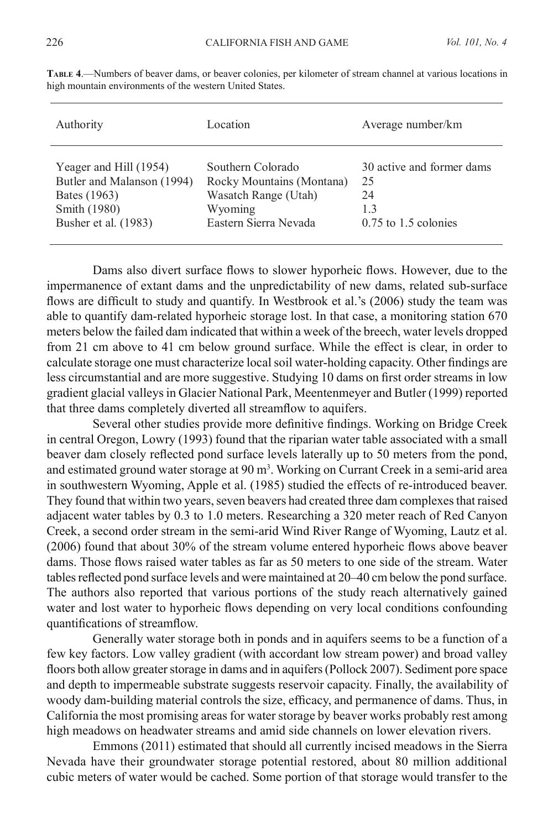| Authority                  | Location                  | Average number/km         |
|----------------------------|---------------------------|---------------------------|
| Yeager and Hill (1954)     | Southern Colorado         | 30 active and former dams |
| Butler and Malanson (1994) | Rocky Mountains (Montana) | 25                        |
| Bates (1963)               | Wasatch Range (Utah)      | 24                        |
| Smith (1980)               | Wyoming                   | 1.3                       |
| Busher et al. (1983)       | Eastern Sierra Nevada     | $0.75$ to 1.5 colonies    |

**Table 4**.—Numbers of beaver dams, or beaver colonies, per kilometer of stream channel at various locations in high mountain environments of the western United States.

Dams also divert surface flows to slower hyporheic flows. However, due to the impermanence of extant dams and the unpredictability of new dams, related sub-surface flows are difficult to study and quantify. In Westbrook et al.'s (2006) study the team was able to quantify dam-related hyporheic storage lost. In that case, a monitoring station 670 meters below the failed dam indicated that within a week of the breech, water levels dropped from 21 cm above to 41 cm below ground surface. While the effect is clear, in order to calculate storage one must characterize local soil water-holding capacity. Other findings are less circumstantial and are more suggestive. Studying 10 dams on first order streams in low gradient glacial valleys in Glacier National Park, Meentenmeyer and Butler (1999) reported that three dams completely diverted all streamflow to aquifers.

Several other studies provide more definitive findings. Working on Bridge Creek in central Oregon, Lowry (1993) found that the riparian water table associated with a small beaver dam closely reflected pond surface levels laterally up to 50 meters from the pond, and estimated ground water storage at 90 m<sup>3</sup>. Working on Currant Creek in a semi-arid area in southwestern Wyoming, Apple et al. (1985) studied the effects of re-introduced beaver. They found that within two years, seven beavers had created three dam complexes that raised adjacent water tables by 0.3 to 1.0 meters. Researching a 320 meter reach of Red Canyon Creek, a second order stream in the semi-arid Wind River Range of Wyoming, Lautz et al. (2006) found that about 30% of the stream volume entered hyporheic flows above beaver dams. Those flows raised water tables as far as 50 meters to one side of the stream. Water tables reflected pond surface levels and were maintained at 20–40 cm below the pond surface. The authors also reported that various portions of the study reach alternatively gained water and lost water to hyporheic flows depending on very local conditions confounding quantifications of streamflow.

Generally water storage both in ponds and in aquifers seems to be a function of a few key factors. Low valley gradient (with accordant low stream power) and broad valley floors both allow greater storage in dams and in aquifers (Pollock 2007). Sediment pore space and depth to impermeable substrate suggests reservoir capacity. Finally, the availability of woody dam-building material controls the size, efficacy, and permanence of dams. Thus, in California the most promising areas for water storage by beaver works probably rest among high meadows on headwater streams and amid side channels on lower elevation rivers.

Emmons (2011) estimated that should all currently incised meadows in the Sierra Nevada have their groundwater storage potential restored, about 80 million additional cubic meters of water would be cached. Some portion of that storage would transfer to the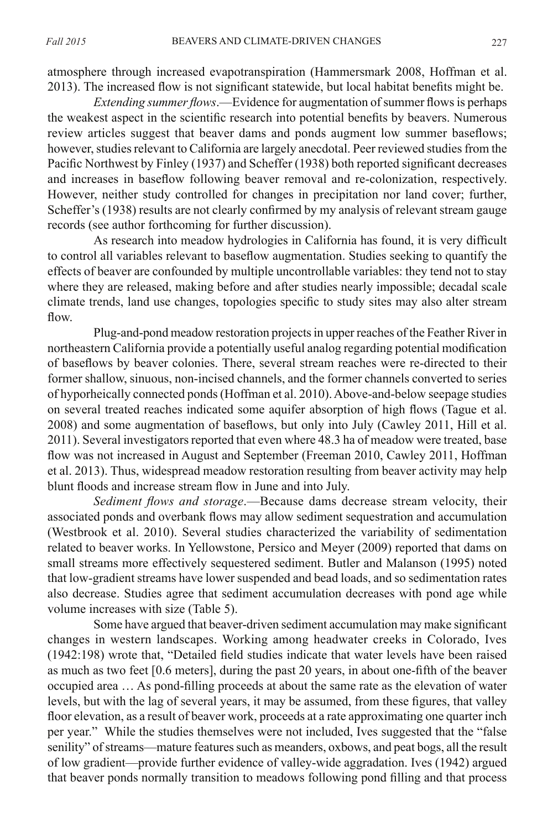atmosphere through increased evapotranspiration (Hammersmark 2008, Hoffman et al. 2013). The increased flow is not significant statewide, but local habitat benefits might be.

*Extending summer flows*.—Evidence for augmentation of summer flows is perhaps the weakest aspect in the scientific research into potential benefits by beavers. Numerous review articles suggest that beaver dams and ponds augment low summer baseflows; however, studies relevant to California are largely anecdotal. Peer reviewed studies from the Pacific Northwest by Finley (1937) and Scheffer (1938) both reported significant decreases and increases in baseflow following beaver removal and re-colonization, respectively. However, neither study controlled for changes in precipitation nor land cover; further, Scheffer's (1938) results are not clearly confirmed by my analysis of relevant stream gauge records (see author forthcoming for further discussion).

As research into meadow hydrologies in California has found, it is very difficult to control all variables relevant to baseflow augmentation. Studies seeking to quantify the effects of beaver are confounded by multiple uncontrollable variables: they tend not to stay where they are released, making before and after studies nearly impossible; decadal scale climate trends, land use changes, topologies specific to study sites may also alter stream flow.

Plug-and-pond meadow restoration projects in upper reaches of the Feather River in northeastern California provide a potentially useful analog regarding potential modification of baseflows by beaver colonies. There, several stream reaches were re-directed to their former shallow, sinuous, non-incised channels, and the former channels converted to series of hyporheically connected ponds (Hoffman et al. 2010). Above-and-below seepage studies on several treated reaches indicated some aquifer absorption of high flows (Tague et al. 2008) and some augmentation of baseflows, but only into July (Cawley 2011, Hill et al. 2011). Several investigators reported that even where 48.3 ha of meadow were treated, base flow was not increased in August and September (Freeman 2010, Cawley 2011, Hoffman et al. 2013). Thus, widespread meadow restoration resulting from beaver activity may help blunt floods and increase stream flow in June and into July.

*Sediment flows and storage*.—Because dams decrease stream velocity, their associated ponds and overbank flows may allow sediment sequestration and accumulation (Westbrook et al. 2010). Several studies characterized the variability of sedimentation related to beaver works. In Yellowstone, Persico and Meyer (2009) reported that dams on small streams more effectively sequestered sediment. Butler and Malanson (1995) noted that low-gradient streams have lower suspended and bead loads, and so sedimentation rates also decrease. Studies agree that sediment accumulation decreases with pond age while volume increases with size (Table 5).

Some have argued that beaver-driven sediment accumulation may make significant changes in western landscapes. Working among headwater creeks in Colorado, Ives (1942:198) wrote that, "Detailed field studies indicate that water levels have been raised as much as two feet [0.6 meters], during the past 20 years, in about one-fifth of the beaver occupied area … As pond-filling proceeds at about the same rate as the elevation of water levels, but with the lag of several years, it may be assumed, from these figures, that valley floor elevation, as a result of beaver work, proceeds at a rate approximating one quarter inch per year." While the studies themselves were not included, Ives suggested that the "false senility" of streams—mature features such as meanders, oxbows, and peat bogs, all the result of low gradient—provide further evidence of valley-wide aggradation. Ives (1942) argued that beaver ponds normally transition to meadows following pond filling and that process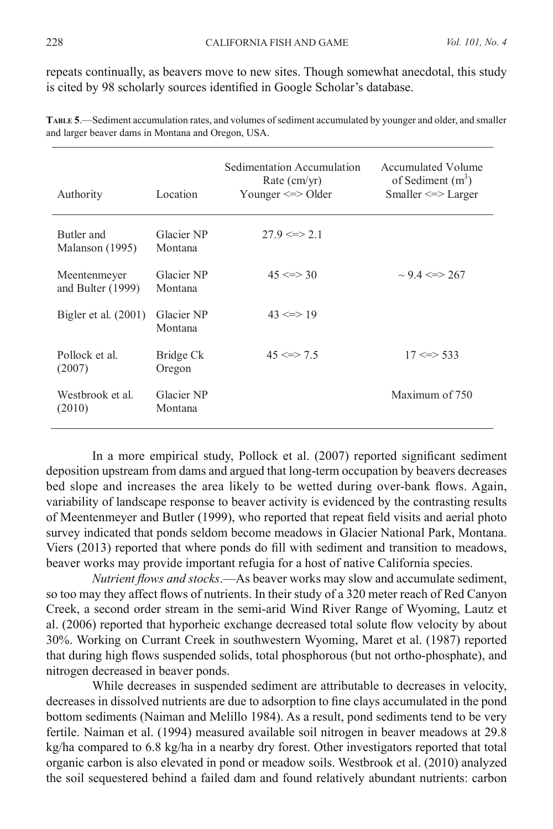repeats continually, as beavers move to new sites. Though somewhat anecdotal, this study is cited by 98 scholarly sources identified in Google Scholar's database.

| Authority                           | Location              | Sedimentation Accumulation<br>Rate $(cm/yr)$<br>Younger $\le$ > Older | Accumulated Volume<br>of Sediment $(m^3)$<br>Smaller $\le$ > Larger |
|-------------------------------------|-----------------------|-----------------------------------------------------------------------|---------------------------------------------------------------------|
| Butler and<br>Malanson (1995)       | Glacier NP<br>Montana | $279 \le z > 21$                                                      |                                                                     |
| Meentenmeyer<br>and Bulter $(1999)$ | Glacier NP<br>Montana | $45 \leq z \leq 30$                                                   | $\sim$ 9.4 <=> 267                                                  |
| Bigler et al. $(2001)$              | Glacier NP<br>Montana | $43 \leq z \leq 19$                                                   |                                                                     |
| Pollock et al.<br>(2007)            | Bridge Ck<br>Oregon   | $45 \leq z \leq 7.5$                                                  | $17 \leq z \leq 533$                                                |
| Westbrook et al.<br>(2010)          | Glacier NP<br>Montana |                                                                       | Maximum of 750                                                      |

**Table 5**.—Sediment accumulation rates, and volumes of sediment accumulated by younger and older, and smaller and larger beaver dams in Montana and Oregon, USA.

In a more empirical study, Pollock et al. (2007) reported significant sediment deposition upstream from dams and argued that long-term occupation by beavers decreases bed slope and increases the area likely to be wetted during over-bank flows. Again, variability of landscape response to beaver activity is evidenced by the contrasting results of Meentenmeyer and Butler (1999), who reported that repeat field visits and aerial photo survey indicated that ponds seldom become meadows in Glacier National Park, Montana. Viers (2013) reported that where ponds do fill with sediment and transition to meadows, beaver works may provide important refugia for a host of native California species.

*Nutrient flows and stocks*.—As beaver works may slow and accumulate sediment, so too may they affect flows of nutrients. In their study of a 320 meter reach of Red Canyon Creek, a second order stream in the semi-arid Wind River Range of Wyoming, Lautz et al. (2006) reported that hyporheic exchange decreased total solute flow velocity by about 30%. Working on Currant Creek in southwestern Wyoming, Maret et al. (1987) reported that during high flows suspended solids, total phosphorous (but not ortho-phosphate), and nitrogen decreased in beaver ponds.

While decreases in suspended sediment are attributable to decreases in velocity, decreases in dissolved nutrients are due to adsorption to fine clays accumulated in the pond bottom sediments (Naiman and Melillo 1984). As a result, pond sediments tend to be very fertile. Naiman et al. (1994) measured available soil nitrogen in beaver meadows at 29.8 kg/ha compared to 6.8 kg/ha in a nearby dry forest. Other investigators reported that total organic carbon is also elevated in pond or meadow soils. Westbrook et al. (2010) analyzed the soil sequestered behind a failed dam and found relatively abundant nutrients: carbon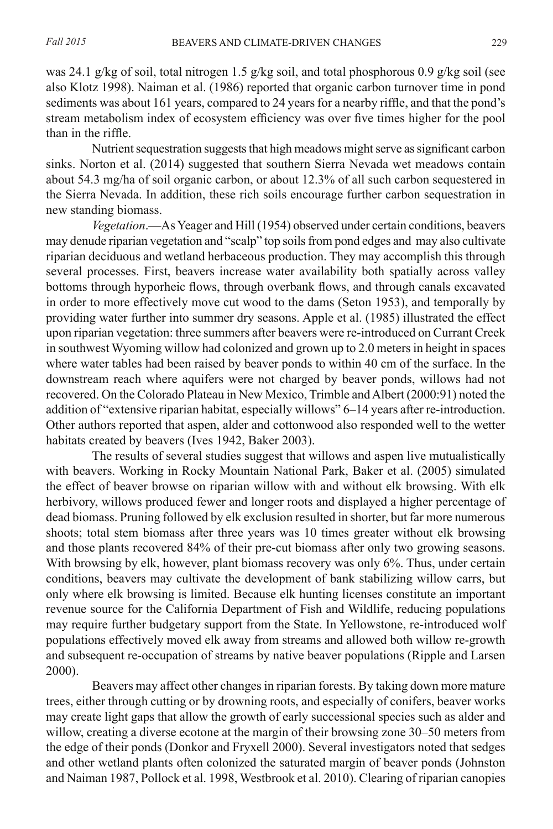was 24.1 g/kg of soil, total nitrogen 1.5 g/kg soil, and total phosphorous 0.9 g/kg soil (see also Klotz 1998). Naiman et al. (1986) reported that organic carbon turnover time in pond sediments was about 161 years, compared to 24 years for a nearby riffle, and that the pond's stream metabolism index of ecosystem efficiency was over five times higher for the pool than in the riffle.

Nutrient sequestration suggests that high meadows might serve as significant carbon sinks. Norton et al. (2014) suggested that southern Sierra Nevada wet meadows contain about 54.3 mg/ha of soil organic carbon, or about 12.3% of all such carbon sequestered in the Sierra Nevada. In addition, these rich soils encourage further carbon sequestration in new standing biomass.

*Vegetation*.—As Yeager and Hill (1954) observed under certain conditions, beavers may denude riparian vegetation and "scalp" top soils from pond edges and may also cultivate riparian deciduous and wetland herbaceous production. They may accomplish this through several processes. First, beavers increase water availability both spatially across valley bottoms through hyporheic flows, through overbank flows, and through canals excavated in order to more effectively move cut wood to the dams (Seton 1953), and temporally by providing water further into summer dry seasons. Apple et al. (1985) illustrated the effect upon riparian vegetation: three summers after beavers were re-introduced on Currant Creek in southwest Wyoming willow had colonized and grown up to 2.0 meters in height in spaces where water tables had been raised by beaver ponds to within 40 cm of the surface. In the downstream reach where aquifers were not charged by beaver ponds, willows had not recovered. On the Colorado Plateau in New Mexico, Trimble and Albert (2000:91) noted the addition of "extensive riparian habitat, especially willows" 6–14 years after re-introduction. Other authors reported that aspen, alder and cottonwood also responded well to the wetter habitats created by beavers (Ives 1942, Baker 2003).

The results of several studies suggest that willows and aspen live mutualistically with beavers. Working in Rocky Mountain National Park, Baker et al. (2005) simulated the effect of beaver browse on riparian willow with and without elk browsing. With elk herbivory, willows produced fewer and longer roots and displayed a higher percentage of dead biomass. Pruning followed by elk exclusion resulted in shorter, but far more numerous shoots; total stem biomass after three years was 10 times greater without elk browsing and those plants recovered 84% of their pre-cut biomass after only two growing seasons. With browsing by elk, however, plant biomass recovery was only 6%. Thus, under certain conditions, beavers may cultivate the development of bank stabilizing willow carrs, but only where elk browsing is limited. Because elk hunting licenses constitute an important revenue source for the California Department of Fish and Wildlife, reducing populations may require further budgetary support from the State. In Yellowstone, re-introduced wolf populations effectively moved elk away from streams and allowed both willow re-growth and subsequent re-occupation of streams by native beaver populations (Ripple and Larsen 2000).

Beavers may affect other changes in riparian forests. By taking down more mature trees, either through cutting or by drowning roots, and especially of conifers, beaver works may create light gaps that allow the growth of early successional species such as alder and willow, creating a diverse ecotone at the margin of their browsing zone 30–50 meters from the edge of their ponds (Donkor and Fryxell 2000). Several investigators noted that sedges and other wetland plants often colonized the saturated margin of beaver ponds (Johnston and Naiman 1987, Pollock et al. 1998, Westbrook et al. 2010). Clearing of riparian canopies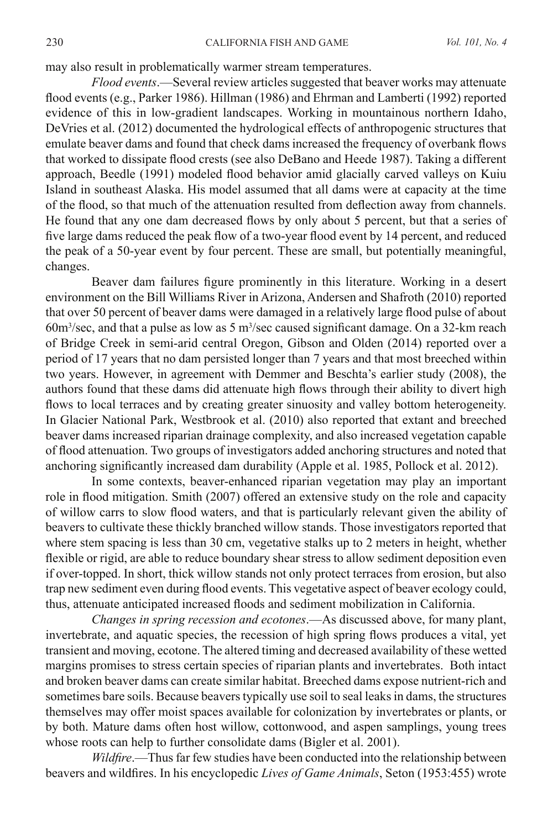may also result in problematically warmer stream temperatures.

*Flood events*.—Several review articles suggested that beaver works may attenuate flood events (e.g., Parker 1986). Hillman (1986) and Ehrman and Lamberti (1992) reported evidence of this in low-gradient landscapes. Working in mountainous northern Idaho, DeVries et al. (2012) documented the hydrological effects of anthropogenic structures that emulate beaver dams and found that check dams increased the frequency of overbank flows that worked to dissipate flood crests (see also DeBano and Heede 1987). Taking a different approach, Beedle (1991) modeled flood behavior amid glacially carved valleys on Kuiu Island in southeast Alaska. His model assumed that all dams were at capacity at the time of the flood, so that much of the attenuation resulted from deflection away from channels. He found that any one dam decreased flows by only about 5 percent, but that a series of five large dams reduced the peak flow of a two-year flood event by 14 percent, and reduced the peak of a 50-year event by four percent. These are small, but potentially meaningful, changes.

Beaver dam failures figure prominently in this literature. Working in a desert environment on the Bill Williams River in Arizona, Andersen and Shafroth (2010) reported that over 50 percent of beaver dams were damaged in a relatively large flood pulse of about  $60m<sup>3</sup>/sec$ , and that a pulse as low as 5 m<sup>3</sup>/sec caused significant damage. On a 32-km reach of Bridge Creek in semi-arid central Oregon, Gibson and Olden (2014) reported over a period of 17 years that no dam persisted longer than 7 years and that most breeched within two years. However, in agreement with Demmer and Beschta's earlier study (2008), the authors found that these dams did attenuate high flows through their ability to divert high flows to local terraces and by creating greater sinuosity and valley bottom heterogeneity. In Glacier National Park, Westbrook et al. (2010) also reported that extant and breeched beaver dams increased riparian drainage complexity, and also increased vegetation capable of flood attenuation. Two groups of investigators added anchoring structures and noted that anchoring significantly increased dam durability (Apple et al. 1985, Pollock et al. 2012).

In some contexts, beaver-enhanced riparian vegetation may play an important role in flood mitigation. Smith (2007) offered an extensive study on the role and capacity of willow carrs to slow flood waters, and that is particularly relevant given the ability of beavers to cultivate these thickly branched willow stands. Those investigators reported that where stem spacing is less than 30 cm, vegetative stalks up to 2 meters in height, whether flexible or rigid, are able to reduce boundary shear stress to allow sediment deposition even if over-topped. In short, thick willow stands not only protect terraces from erosion, but also trap new sediment even during flood events. This vegetative aspect of beaver ecology could, thus, attenuate anticipated increased floods and sediment mobilization in California.

*Changes in spring recession and ecotones*.—As discussed above, for many plant, invertebrate, and aquatic species, the recession of high spring flows produces a vital, yet transient and moving, ecotone. The altered timing and decreased availability of these wetted margins promises to stress certain species of riparian plants and invertebrates. Both intact and broken beaver dams can create similar habitat. Breeched dams expose nutrient-rich and sometimes bare soils. Because beavers typically use soil to seal leaks in dams, the structures themselves may offer moist spaces available for colonization by invertebrates or plants, or by both. Mature dams often host willow, cottonwood, and aspen samplings, young trees whose roots can help to further consolidate dams (Bigler et al. 2001).

*Wildfire*.—Thus far few studies have been conducted into the relationship between beavers and wildfires. In his encyclopedic *Lives of Game Animals*, Seton (1953:455) wrote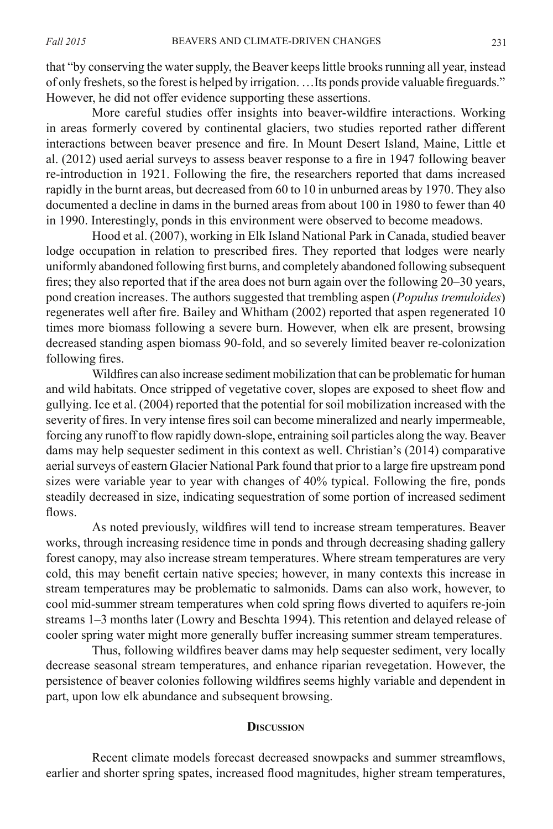that "by conserving the water supply, the Beaver keeps little brooks running all year, instead of only freshets, so the forest is helped by irrigation. …Its ponds provide valuable fireguards." However, he did not offer evidence supporting these assertions.

More careful studies offer insights into beaver-wildfire interactions. Working in areas formerly covered by continental glaciers, two studies reported rather different interactions between beaver presence and fire. In Mount Desert Island, Maine, Little et al. (2012) used aerial surveys to assess beaver response to a fire in 1947 following beaver re-introduction in 1921. Following the fire, the researchers reported that dams increased rapidly in the burnt areas, but decreased from 60 to 10 in unburned areas by 1970. They also documented a decline in dams in the burned areas from about 100 in 1980 to fewer than 40 in 1990. Interestingly, ponds in this environment were observed to become meadows.

Hood et al. (2007), working in Elk Island National Park in Canada, studied beaver lodge occupation in relation to prescribed fires. They reported that lodges were nearly uniformly abandoned following first burns, and completely abandoned following subsequent fires; they also reported that if the area does not burn again over the following 20–30 years, pond creation increases. The authors suggested that trembling aspen (*Populus tremuloides*) regenerates well after fire. Bailey and Whitham (2002) reported that aspen regenerated 10 times more biomass following a severe burn. However, when elk are present, browsing decreased standing aspen biomass 90-fold, and so severely limited beaver re-colonization following fires.

Wildfires can also increase sediment mobilization that can be problematic for human and wild habitats. Once stripped of vegetative cover, slopes are exposed to sheet flow and gullying. Ice et al. (2004) reported that the potential for soil mobilization increased with the severity of fires. In very intense fires soil can become mineralized and nearly impermeable, forcing any runoff to flow rapidly down-slope, entraining soil particles along the way. Beaver dams may help sequester sediment in this context as well. Christian's (2014) comparative aerial surveys of eastern Glacier National Park found that prior to a large fire upstream pond sizes were variable year to year with changes of 40% typical. Following the fire, ponds steadily decreased in size, indicating sequestration of some portion of increased sediment flows.

As noted previously, wildfires will tend to increase stream temperatures. Beaver works, through increasing residence time in ponds and through decreasing shading gallery forest canopy, may also increase stream temperatures. Where stream temperatures are very cold, this may benefit certain native species; however, in many contexts this increase in stream temperatures may be problematic to salmonids. Dams can also work, however, to cool mid-summer stream temperatures when cold spring flows diverted to aquifers re-join streams 1–3 months later (Lowry and Beschta 1994). This retention and delayed release of cooler spring water might more generally buffer increasing summer stream temperatures.

Thus, following wildfires beaver dams may help sequester sediment, very locally decrease seasonal stream temperatures, and enhance riparian revegetation. However, the persistence of beaver colonies following wildfires seems highly variable and dependent in part, upon low elk abundance and subsequent browsing.

#### **Discussion**

Recent climate models forecast decreased snowpacks and summer streamflows, earlier and shorter spring spates, increased flood magnitudes, higher stream temperatures,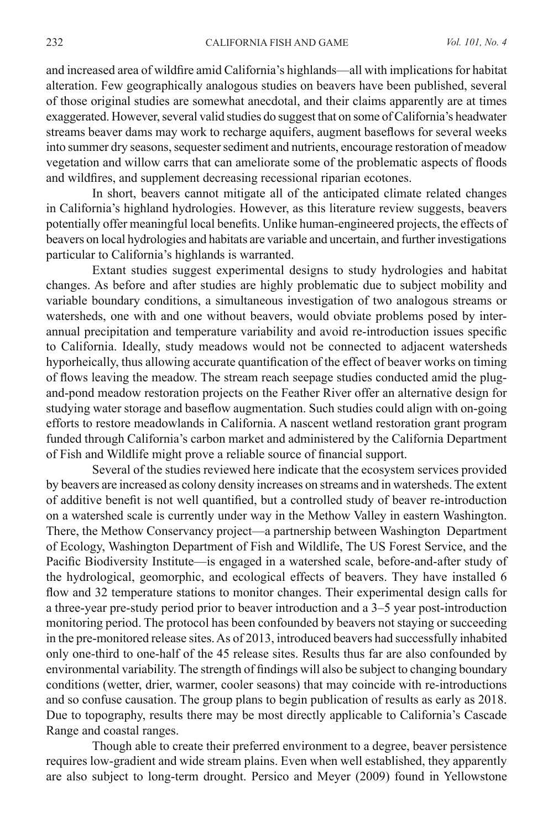and increased area of wildfire amid California's highlands—all with implications for habitat alteration. Few geographically analogous studies on beavers have been published, several of those original studies are somewhat anecdotal, and their claims apparently are at times exaggerated. However, several valid studies do suggest that on some of California's headwater streams beaver dams may work to recharge aquifers, augment baseflows for several weeks into summer dry seasons, sequester sediment and nutrients, encourage restoration of meadow vegetation and willow carrs that can ameliorate some of the problematic aspects of floods and wildfires, and supplement decreasing recessional riparian ecotones.

In short, beavers cannot mitigate all of the anticipated climate related changes in California's highland hydrologies. However, as this literature review suggests, beavers potentially offer meaningful local benefits. Unlike human-engineered projects, the effects of beavers on local hydrologies and habitats are variable and uncertain, and further investigations particular to California's highlands is warranted.

Extant studies suggest experimental designs to study hydrologies and habitat changes. As before and after studies are highly problematic due to subject mobility and variable boundary conditions, a simultaneous investigation of two analogous streams or watersheds, one with and one without beavers, would obviate problems posed by interannual precipitation and temperature variability and avoid re-introduction issues specific to California. Ideally, study meadows would not be connected to adjacent watersheds hyporheically, thus allowing accurate quantification of the effect of beaver works on timing of flows leaving the meadow. The stream reach seepage studies conducted amid the plugand-pond meadow restoration projects on the Feather River offer an alternative design for studying water storage and baseflow augmentation. Such studies could align with on-going efforts to restore meadowlands in California. A nascent wetland restoration grant program funded through California's carbon market and administered by the California Department of Fish and Wildlife might prove a reliable source of financial support.

Several of the studies reviewed here indicate that the ecosystem services provided by beavers are increased as colony density increases on streams and in watersheds. The extent of additive benefit is not well quantified, but a controlled study of beaver re-introduction on a watershed scale is currently under way in the Methow Valley in eastern Washington. There, the Methow Conservancy project—a partnership between Washington Department of Ecology, Washington Department of Fish and Wildlife, The US Forest Service, and the Pacific Biodiversity Institute—is engaged in a watershed scale, before-and-after study of the hydrological, geomorphic, and ecological effects of beavers. They have installed 6 flow and 32 temperature stations to monitor changes. Their experimental design calls for a three-year pre-study period prior to beaver introduction and a 3–5 year post-introduction monitoring period. The protocol has been confounded by beavers not staying or succeeding in the pre-monitored release sites. As of 2013, introduced beavers had successfully inhabited only one-third to one-half of the 45 release sites. Results thus far are also confounded by environmental variability. The strength of findings will also be subject to changing boundary conditions (wetter, drier, warmer, cooler seasons) that may coincide with re-introductions and so confuse causation. The group plans to begin publication of results as early as 2018. Due to topography, results there may be most directly applicable to California's Cascade Range and coastal ranges.

Though able to create their preferred environment to a degree, beaver persistence requires low-gradient and wide stream plains. Even when well established, they apparently are also subject to long-term drought. Persico and Meyer (2009) found in Yellowstone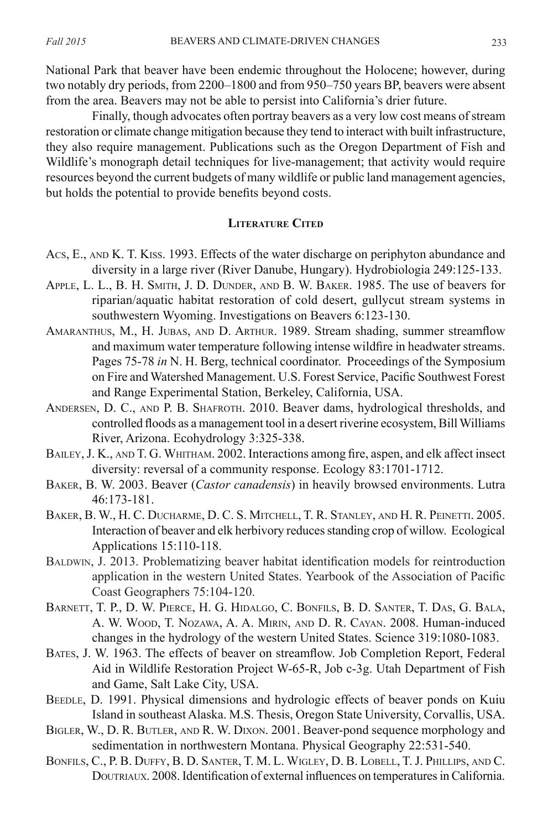National Park that beaver have been endemic throughout the Holocene; however, during two notably dry periods, from 2200–1800 and from 950–750 years BP, beavers were absent from the area. Beavers may not be able to persist into California's drier future.

Finally, though advocates often portray beavers as a very low cost means of stream restoration or climate change mitigation because they tend to interact with built infrastructure, they also require management. Publications such as the Oregon Department of Fish and Wildlife's monograph detail techniques for live-management; that activity would require resources beyond the current budgets of many wildlife or public land management agencies, but holds the potential to provide benefits beyond costs.

#### **Literature Cited**

- Acs, E., and K. T. Kiss. 1993. Effects of the water discharge on periphyton abundance and diversity in a large river (River Danube, Hungary). Hydrobiologia 249:125-133.
- Apple, L. L., B. H. Smith, J. D. Dunder, and B. W. Baker. 1985. The use of beavers for riparian/aquatic habitat restoration of cold desert, gullycut stream systems in southwestern Wyoming. Investigations on Beavers 6:123-130.
- Amaranthus, M., H. Jubas, and D. Arthur. 1989. Stream shading, summer streamflow and maximum water temperature following intense wildfire in headwater streams. Pages 75-78 *in* N. H. Berg, technical coordinator. Proceedings of the Symposium on Fire and Watershed Management. U.S. Forest Service, Pacific Southwest Forest and Range Experimental Station, Berkeley, California, USA.
- Andersen, D. C., and P. B. Shafroth. 2010. Beaver dams, hydrological thresholds, and controlled floods as a management tool in a desert riverine ecosystem, Bill Williams River, Arizona. Ecohydrology 3:325-338.
- BAILEY, J. K., AND T. G. WHITHAM. 2002. Interactions among fire, aspen, and elk affect insect diversity: reversal of a community response. Ecology 83:1701-1712.
- Baker, B. W. 2003. Beaver (*Castor canadensis*) in heavily browsed environments. Lutra 46:173-181.
- Baker, B. W., H. C. Ducharme, D. C. S. Mitchell, T. R. Stanley, and H. R. Peinetti. 2005. Interaction of beaver and elk herbivory reduces standing crop of willow. Ecological Applications 15:110-118.
- Baldwin, J. 2013. Problematizing beaver habitat identification models for reintroduction application in the western United States. Yearbook of the Association of Pacific Coast Geographers 75:104-120.
- Barnett, T. P., D. W. Pierce, H. G. Hidalgo, C. Bonfils, B. D. Santer, T. Das, G. Bala, A. W. Wood, T. Nozawa, A. A. Mirin, and D. R. Cayan. 2008. Human-induced changes in the hydrology of the western United States. Science 319:1080-1083.
- Bates, J. W. 1963. The effects of beaver on streamflow. Job Completion Report, Federal Aid in Wildlife Restoration Project W-65-R, Job c-3g. Utah Department of Fish and Game, Salt Lake City, USA.
- BEEDLE, D. 1991. Physical dimensions and hydrologic effects of beaver ponds on Kuiu Island in southeast Alaska. M.S. Thesis, Oregon State University, Corvallis, USA.
- Bigler, W., D. R. Butler, and R. W. Dixon. 2001. Beaver-pond sequence morphology and sedimentation in northwestern Montana. Physical Geography 22:531-540.
- Bonfils, C., P. B. Duffy, B. D. Santer, T. M. L. Wigley, D. B. Lobell, T. J. Phillips, and C. Doutriaux. 2008. Identification of external influences on temperatures in California.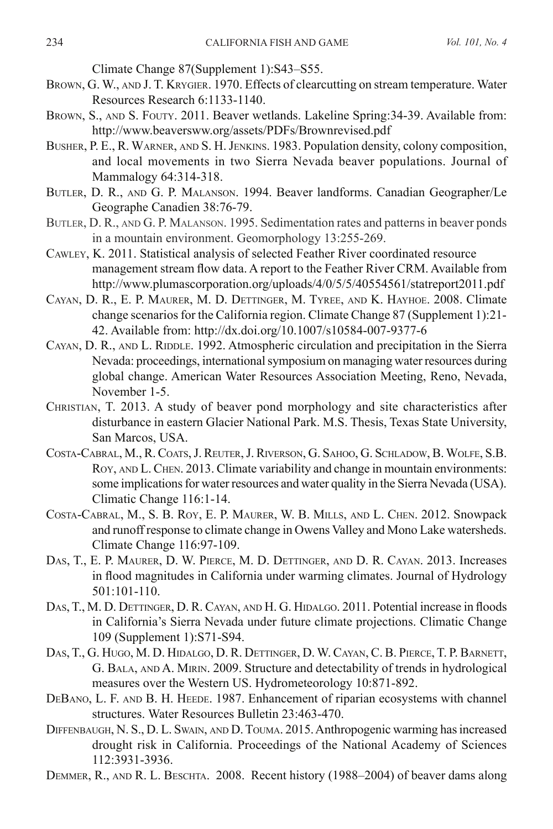Climate Change 87(Supplement 1):S43–S55.

- BROWN, G. W., AND J. T. KRYGIER. 1970. Effects of clearcutting on stream temperature. Water Resources Research 6:1133-1140.
- BROWN, S., AND S. FOUTY. 2011. Beaver wetlands. Lakeline Spring: 34-39. Available from: http://www.beaversww.org/assets/PDFs/Brownrevised.pdf
- Busher, P. E., R. Warner, and S. H. Jenkins. 1983. Population density, colony composition, and local movements in two Sierra Nevada beaver populations. Journal of Mammalogy 64:314-318.
- Butler, D. R., and G. P. Malanson. 1994. Beaver landforms. Canadian Geographer/Le Geographe Canadien 38:76-79.
- Butler, D. R., and G. P. Malanson. 1995. Sedimentation rates and patterns in beaver ponds in a mountain environment. Geomorphology 13:255-269.
- Cawley, K. 2011. Statistical analysis of selected Feather River coordinated resource management stream flow data. A report to the Feather River CRM. Available from http://www.plumascorporation.org/uploads/4/0/5/5/40554561/statreport2011.pdf
- Cayan, D. R., E. P. Maurer, M. D. Dettinger, M. Tyree, and K. Hayhoe. 2008. Climate change scenarios for the California region. Climate Change 87 (Supplement 1):21- 42. Available from: http://dx.doi.org/10.1007/s10584-007-9377-6
- CAYAN, D. R., AND L. RIDDLE. 1992. Atmospheric circulation and precipitation in the Sierra Nevada: proceedings, international symposium on managing water resources during global change. American Water Resources Association Meeting, Reno, Nevada, November 1-5.
- Christian, T. 2013. A study of beaver pond morphology and site characteristics after disturbance in eastern Glacier National Park. M.S. Thesis, Texas State University, San Marcos, USA.
- Costa-Cabral, M., R. Coats, J. Reuter, J. Riverson, G. Sahoo, G. Schladow, B. Wolfe, S.B. Roy, AND L. CHEN. 2013. Climate variability and change in mountain environments: some implications for water resources and water quality in the Sierra Nevada (USA). Climatic Change 116:1-14.
- Costa-Cabral, M., S. B. Roy, E. P. Maurer, W. B. Mills, and L. Chen. 2012. Snowpack and runoff response to climate change in Owens Valley and Mono Lake watersheds. Climate Change 116:97-109.
- Das, T., E. P. Maurer, D. W. Pierce, M. D. Dettinger, and D. R. Cayan. 2013. Increases in flood magnitudes in California under warming climates. Journal of Hydrology 501:101-110.
- Das, T., M. D. Dettinger, D. R. Cayan, and H. G. Hidalgo. 2011. Potential increase in floods in California's Sierra Nevada under future climate projections. Climatic Change 109 (Supplement 1):S71-S94.
- Das, T., G. Hugo, M. D. Hidalgo, D. R. Dettinger, D. W. Cayan, C. B. Pierce, T. P. Barnett, G. Bala, and A. Mirin. 2009. Structure and detectability of trends in hydrological measures over the Western US. Hydrometeorology 10:871-892.
- DEBANO, L. F. AND B. H. HEEDE. 1987. Enhancement of riparian ecosystems with channel structures. Water Resources Bulletin 23:463-470.
- Diffenbaugh, N. S., D. L. Swain, and D. Touma. 2015. Anthropogenic warming has increased drought risk in California. Proceedings of the National Academy of Sciences 112:3931-3936.
- DEMMER, R., AND R. L. BESCHTA. 2008. Recent history (1988–2004) of beaver dams along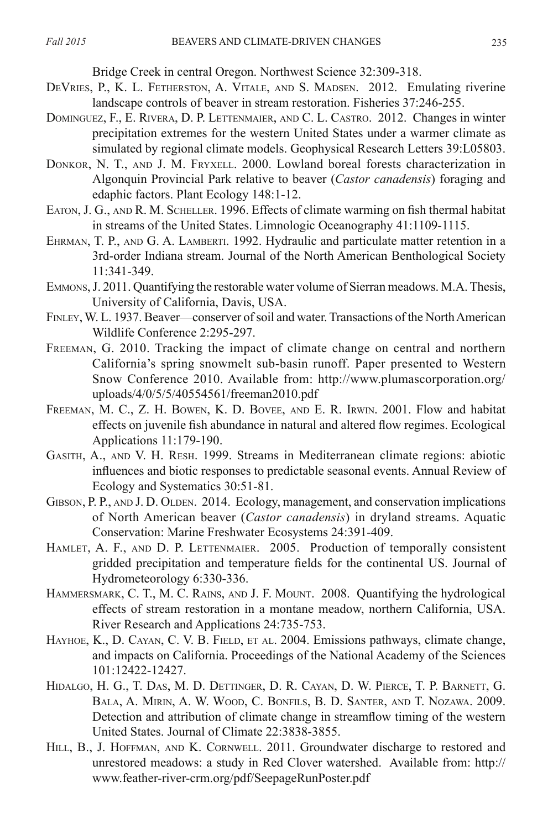Bridge Creek in central Oregon. Northwest Science 32:309-318.

- DEVRIES, P., K. L. FETHERSTON, A. VITALE, AND S. MADSEN. 2012. Emulating riverine landscape controls of beaver in stream restoration. Fisheries 37:246-255.
- Dominguez, F., E. Rivera, D. P. Lettenmaier, and C. L. Castro. 2012. Changes in winter precipitation extremes for the western United States under a warmer climate as simulated by regional climate models. Geophysical Research Letters 39:L05803.
- Donkor, N. T., and J. M. Fryxell. 2000. Lowland boreal forests characterization in Algonquin Provincial Park relative to beaver (*Castor canadensis*) foraging and edaphic factors. Plant Ecology 148:1-12.
- Eaton, J. G., and R. M. Scheller. 1996. Effects of climate warming on fish thermal habitat in streams of the United States. Limnologic Oceanography 41:1109-1115.
- EHRMAN, T. P., AND G. A. LAMBERTI. 1992. Hydraulic and particulate matter retention in a 3rd-order Indiana stream. Journal of the North American Benthological Society 11:341-349.
- Emmons, J. 2011. Quantifying the restorable water volume of Sierran meadows. M.A. Thesis, University of California, Davis, USA.
- Finley, W. L. 1937. Beaver—conserver of soil and water. Transactions of the North American Wildlife Conference 2:295-297.
- Freeman, G. 2010. Tracking the impact of climate change on central and northern California's spring snowmelt sub-basin runoff. Paper presented to Western Snow Conference 2010. Available from: http://www.plumascorporation.org/ uploads/4/0/5/5/40554561/freeman2010.pdf
- Freeman, M. C., Z. H. Bowen, K. D. Bovee, and E. R. Irwin. 2001. Flow and habitat effects on juvenile fish abundance in natural and altered flow regimes. Ecological Applications 11:179-190.
- Gasith, A., and V. H. Resh. 1999. Streams in Mediterranean climate regions: abiotic influences and biotic responses to predictable seasonal events. Annual Review of Ecology and Systematics 30:51-81.
- GIBSON, P. P., AND J. D. OLDEN. 2014. Ecology, management, and conservation implications of North American beaver (*Castor canadensis*) in dryland streams. Aquatic Conservation: Marine Freshwater Ecosystems 24:391-409.
- HAMLET, A. F., AND D. P. LETTENMAIER. 2005. Production of temporally consistent gridded precipitation and temperature fields for the continental US. Journal of Hydrometeorology 6:330-336.
- Hammersmark, C. T., M. C. Rains, and J. F. Mount. 2008. Quantifying the hydrological effects of stream restoration in a montane meadow, northern California, USA. River Research and Applications 24:735-753.
- HAYHOE, K., D. CAYAN, C. V. B. FIELD, ET AL. 2004. Emissions pathways, climate change, and impacts on California. Proceedings of the National Academy of the Sciences 101:12422-12427.
- Hidalgo, H. G., T. Das, M. D. Dettinger, D. R. Cayan, D. W. Pierce, T. P. Barnett, G. Bala, A. Mirin, A. W. Wood, C. Bonfils, B. D. Santer, and T. Nozawa. 2009. Detection and attribution of climate change in streamflow timing of the western United States. Journal of Climate 22:3838-3855.
- HILL, B., J. HOFFMAN, AND K. CORNWELL. 2011. Groundwater discharge to restored and unrestored meadows: a study in Red Clover watershed. Available from: http:// www.feather-river-crm.org/pdf/SeepageRunPoster.pdf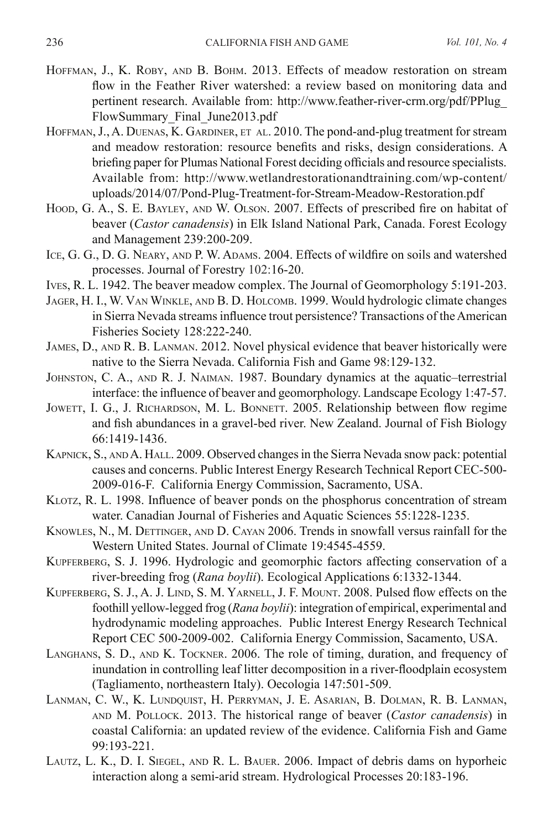- HOFFMAN, J., K. ROBY, AND B. BOHM. 2013. Effects of meadow restoration on stream flow in the Feather River watershed: a review based on monitoring data and pertinent research. Available from: http://www.feather-river-crm.org/pdf/PPlug\_ FlowSummary\_Final\_June2013.pdf
- HOFFMAN, J., A. DUENAS, K. GARDINER, ET AL. 2010. The pond-and-plug treatment for stream and meadow restoration: resource benefits and risks, design considerations. A briefing paper for Plumas National Forest deciding officials and resource specialists. Available from: http://www.wetlandrestorationandtraining.com/wp-content/ uploads/2014/07/Pond-Plug-Treatment-for-Stream-Meadow-Restoration.pdf
- Hoop, G. A., S. E. BAYLEY, AND W. OLSON. 2007. Effects of prescribed fire on habitat of beaver (*Castor canadensis*) in Elk Island National Park, Canada. Forest Ecology and Management 239:200-209.
- ICE, G. G., D. G. NEARY, AND P. W. ADAMS. 2004. Effects of wildfire on soils and watershed processes. Journal of Forestry 102:16-20.
- Ives, R. L. 1942. The beaver meadow complex. The Journal of Geomorphology 5:191-203.
- Jager, H. I., W. Van Winkle, and B. D. Holcomb. 1999. Would hydrologic climate changes in Sierra Nevada streams influence trout persistence? Transactions of the American Fisheries Society 128:222-240.
- James, D., and R. B. Lanman. 2012. Novel physical evidence that beaver historically were native to the Sierra Nevada. California Fish and Game 98:129-132.
- Johnston, C. A., and R. J. Naiman. 1987. Boundary dynamics at the aquatic–terrestrial interface: the influence of beaver and geomorphology. Landscape Ecology 1:47-57.
- JOWETT, I. G., J. RICHARDSON, M. L. BONNETT. 2005. Relationship between flow regime and fish abundances in a gravel-bed river. New Zealand. Journal of Fish Biology 66:1419-1436.
- Kapnick, S., and A. Hall. 2009. Observed changes in the Sierra Nevada snow pack: potential causes and concerns. Public Interest Energy Research Technical Report CEC-500- 2009-016-F. California Energy Commission, Sacramento, USA.
- Klotz, R. L. 1998. Influence of beaver ponds on the phosphorus concentration of stream water. Canadian Journal of Fisheries and Aquatic Sciences 55:1228-1235.
- KNOWLES, N., M. DETTINGER, AND D. CAYAN 2006. Trends in snowfall versus rainfall for the Western United States. Journal of Climate 19:4545-4559.
- KUPFERBERG, S. J. 1996. Hydrologic and geomorphic factors affecting conservation of a river-breeding frog (*Rana boylii*). Ecological Applications 6:1332-1344.
- Kupferberg, S. J., A. J. Lind, S. M. Yarnell, J. F. Mount. 2008. Pulsed flow effects on the foothill yellow-legged frog (*Rana boylii*): integration of empirical, experimental and hydrodynamic modeling approaches. Public Interest Energy Research Technical Report CEC 500-2009-002. California Energy Commission, Sacamento, USA.
- Langhans, S. D., and K. Tockner. 2006. The role of timing, duration, and frequency of inundation in controlling leaf litter decomposition in a river-floodplain ecosystem (Tagliamento, northeastern Italy). Oecologia 147:501-509.
- Lanman, C. W., K. Lundquist, H. Perryman, J. E. Asarian, B. Dolman, R. B. Lanman, and M. Pollock. 2013. The historical range of beaver (*Castor canadensis*) in coastal California: an updated review of the evidence. California Fish and Game 99:193-221.
- LAUTZ, L. K., D. I. SIEGEL, AND R. L. BAUER. 2006. Impact of debris dams on hyporheic interaction along a semi-arid stream. Hydrological Processes 20:183-196.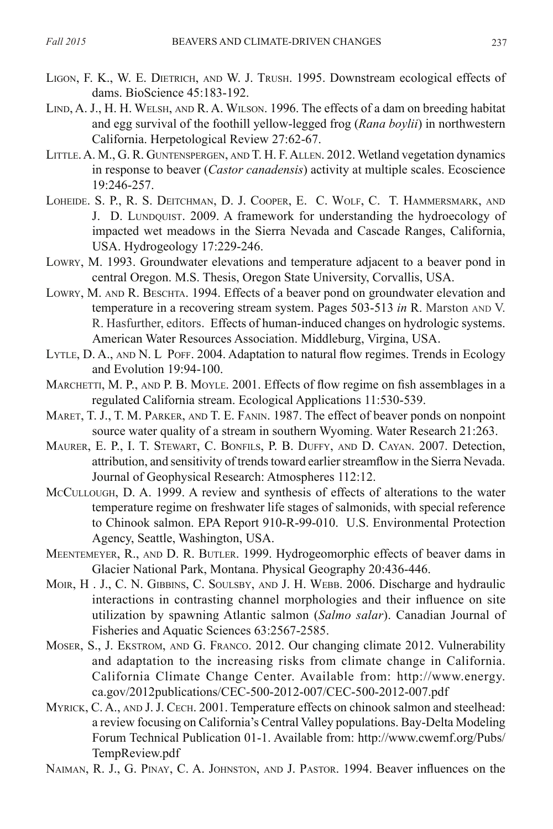- LIGON, F. K., W. E. DIETRICH, AND W. J. TRUSH. 1995. Downstream ecological effects of dams. BioScience 45:183-192.
- LIND, A. J., H. H. WELSH, AND R. A. WILSON. 1996. The effects of a dam on breeding habitat and egg survival of the foothill yellow-legged frog (*Rana boylii*) in northwestern California. Herpetological Review 27:62-67.
- LITTLE. A. M., G. R. GUNTENSPERGEN, AND T. H. F. ALLEN. 2012. Wetland vegetation dynamics in response to beaver (*Castor canadensis*) activity at multiple scales. Ecoscience 19:246-257.
- LOHEIDE. S. P., R. S. DEITCHMAN, D. J. COOPER, E. C. WOLF, C. T. HAMMERSMARK, AND J. D. Lundquist. 2009. A framework for understanding the hydroecology of impacted wet meadows in the Sierra Nevada and Cascade Ranges, California, USA. Hydrogeology 17:229-246.
- Lowry, M. 1993. Groundwater elevations and temperature adjacent to a beaver pond in central Oregon. M.S. Thesis, Oregon State University, Corvallis, USA.
- LOWRY, M. AND R. BESCHTA. 1994. Effects of a beaver pond on groundwater elevation and temperature in a recovering stream system. Pages 503-513 *in* R. Marston and V. R. Hasfurther, editors. Effects of human-induced changes on hydrologic systems. American Water Resources Association. Middleburg, Virgina, USA.
- LYTLE, D. A., AND N. L POFF. 2004. Adaptation to natural flow regimes. Trends in Ecology and Evolution 19:94-100.
- MARCHETTI, M. P., AND P. B. MOYLE. 2001. Effects of flow regime on fish assemblages in a regulated California stream. Ecological Applications 11:530-539.
- MARET, T. J., T. M. PARKER, AND T. E. FANIN. 1987. The effect of beaver ponds on nonpoint source water quality of a stream in southern Wyoming. Water Research 21:263.
- Maurer, E. P., I. T. Stewart, C. Bonfils, P. B. Duffy, and D. Cayan. 2007. Detection, attribution, and sensitivity of trends toward earlier streamflow in the Sierra Nevada. Journal of Geophysical Research: Atmospheres 112:12.
- McCullough, D. A. 1999. A review and synthesis of effects of alterations to the water temperature regime on freshwater life stages of salmonids, with special reference to Chinook salmon. EPA Report 910-R-99-010. U.S. Environmental Protection Agency, Seattle, Washington, USA.
- Meentemeyer, R., and D. R. Butler. 1999. Hydrogeomorphic effects of beaver dams in Glacier National Park, Montana. Physical Geography 20:436-446.
- MOIR, H. J., C. N. GIBBINS, C. SOULSBY, AND J. H. WEBB. 2006. Discharge and hydraulic interactions in contrasting channel morphologies and their influence on site utilization by spawning Atlantic salmon (*Salmo salar*). Canadian Journal of Fisheries and Aquatic Sciences 63:2567-2585.
- Moser, S., J. Ekstrom, and G. Franco. 2012. Our changing climate 2012. Vulnerability and adaptation to the increasing risks from climate change in California. California Climate Change Center. Available from: http://www.energy. ca.gov/2012publications/CEC-500-2012-007/CEC-500-2012-007.pdf
- MYRICK, C. A., AND J. J. CECH. 2001. Temperature effects on chinook salmon and steelhead: a review focusing on California's Central Valley populations. Bay-Delta Modeling Forum Technical Publication 01-1. Available from: http://www.cwemf.org/Pubs/ TempReview.pdf
- Naiman, R. J., G. Pinay, C. A. Johnston, and J. Pastor. 1994. Beaver influences on the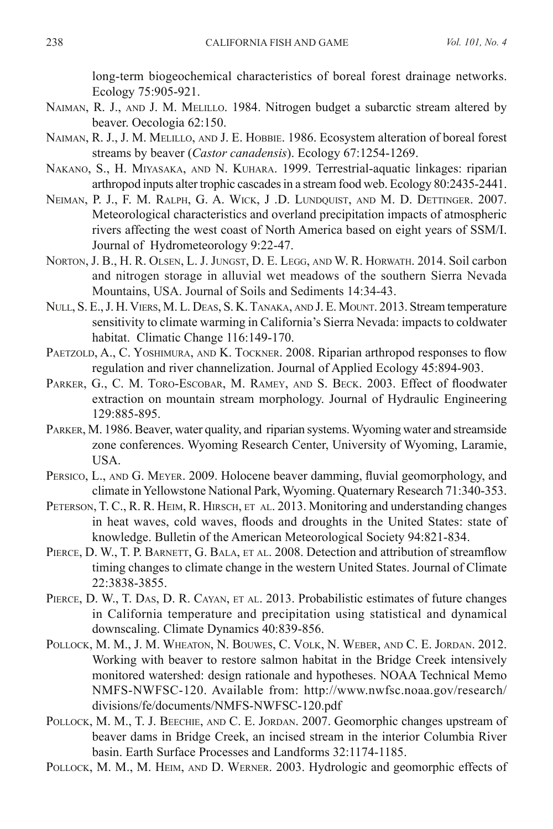long-term biogeochemical characteristics of boreal forest drainage networks. Ecology 75:905-921.

- Naiman, R. J., and J. M. Melillo. 1984. Nitrogen budget a subarctic stream altered by beaver. Oecologia 62:150.
- Naiman, R. J., J. M. Melillo, and J. E. Hobbie. 1986. Ecosystem alteration of boreal forest streams by beaver (*Castor canadensis*). Ecology 67:1254-1269.
- Nakano, S., H. Miyasaka, and N. Kuhara. 1999. Terrestrial-aquatic linkages: riparian arthropod inputs alter trophic cascades in a stream food web. Ecology 80:2435-2441.
- Neiman, P. J., F. M. Ralph, G. A. Wick, J .D. Lundquist, and M. D. Dettinger. 2007. Meteorological characteristics and overland precipitation impacts of atmospheric rivers affecting the west coast of North America based on eight years of SSM/I. Journal of Hydrometeorology 9:22-47.
- Norton, J. B., H. R. Olsen, L. J. Jungst, D. E. Legg, and W. R. Horwath. 2014. Soil carbon and nitrogen storage in alluvial wet meadows of the southern Sierra Nevada Mountains, USA. Journal of Soils and Sediments 14:34-43.
- Null, S. E., J. H. Viers, M. L. Deas, S. K. Tanaka, and J. E. Mount. 2013. Stream temperature sensitivity to climate warming in California's Sierra Nevada: impacts to coldwater habitat. Climatic Change 116:149-170.
- PAETZOLD, A., C. YOSHIMURA, AND K. TOCKNER. 2008. Riparian arthropod responses to flow regulation and river channelization. Journal of Applied Ecology 45:894-903.
- PARKER, G., C. M. TORO-ESCOBAR, M. RAMEY, AND S. BECK. 2003. Effect of floodwater extraction on mountain stream morphology. Journal of Hydraulic Engineering 129:885-895.
- Parker, M. 1986. Beaver, water quality, and riparian systems. Wyoming water and streamside zone conferences. Wyoming Research Center, University of Wyoming, Laramie, USA.
- Persico, L., and G. Meyer. 2009. Holocene beaver damming, fluvial geomorphology, and climate in Yellowstone National Park, Wyoming. Quaternary Research 71:340-353.
- PETERSON, T. C., R. R. HEIM, R. HIRSCH, ET AL. 2013. Monitoring and understanding changes in heat waves, cold waves, floods and droughts in the United States: state of knowledge. Bulletin of the American Meteorological Society 94:821-834.
- PIERCE, D. W., T. P. BARNETT, G. BALA, ET AL. 2008. Detection and attribution of streamflow timing changes to climate change in the western United States. Journal of Climate 22:3838-3855.
- PIERCE, D. W., T. DAS, D. R. CAYAN, ET AL. 2013. Probabilistic estimates of future changes in California temperature and precipitation using statistical and dynamical downscaling. Climate Dynamics 40:839-856.
- Pollock, M. M., J. M. Wheaton, N. Bouwes, C. Volk, N. Weber, and C. E. Jordan. 2012. Working with beaver to restore salmon habitat in the Bridge Creek intensively monitored watershed: design rationale and hypotheses. NOAA Technical Memo NMFS-NWFSC-120. Available from: http://www.nwfsc.noaa.gov/research/ divisions/fe/documents/NMFS-NWFSC-120.pdf
- POLLOCK, M. M., T. J. BEECHIE, AND C. E. JORDAN. 2007. Geomorphic changes upstream of beaver dams in Bridge Creek, an incised stream in the interior Columbia River basin. Earth Surface Processes and Landforms 32:1174-1185.
- Pollock, M. M., M. Heim, and D. Werner. 2003. Hydrologic and geomorphic effects of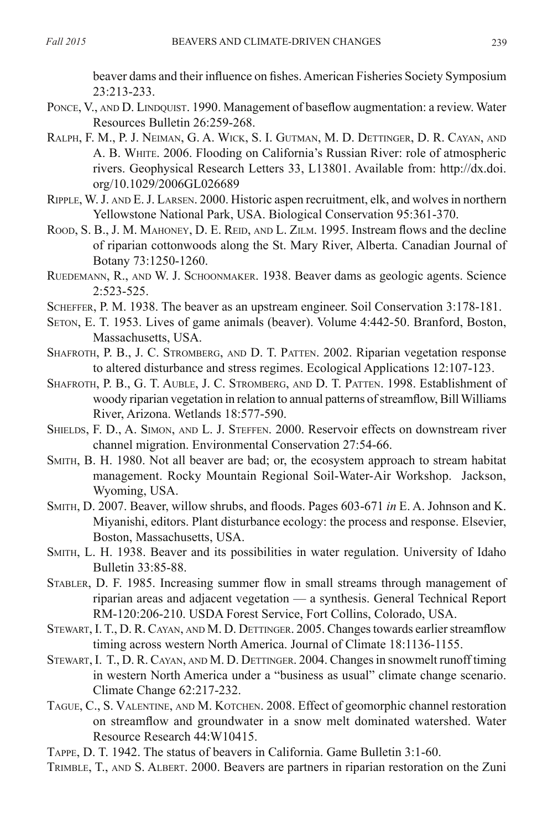beaver dams and their influence on fishes. American Fisheries Society Symposium 23:213-233.

- PONCE, V., AND D. LINDQUIST. 1990. Management of baseflow augmentation: a review. Water Resources Bulletin 26:259-268.
- Ralph, F. M., P. J. Neiman, G. A. Wick, S. I. Gutman, M. D. Dettinger, D. R. Cayan, and A. B. White. 2006. Flooding on California's Russian River: role of atmospheric rivers. Geophysical Research Letters 33, L13801. Available from: http://dx.doi. org/10.1029/2006GL026689
- Ripple, W. J. and E. J. Larsen. 2000. Historic aspen recruitment, elk, and wolves in northern Yellowstone National Park, USA. Biological Conservation 95:361-370.
- Rood, S. B., J. M. MAHONEY, D. E. REID, AND L. ZILM. 1995. Instream flows and the decline of riparian cottonwoods along the St. Mary River, Alberta. Canadian Journal of Botany 73:1250-1260.
- Ruedemann, R., and W. J. Schoonmaker. 1938. Beaver dams as geologic agents. Science 2:523-525.
- Scheffer, P. M. 1938. The beaver as an upstream engineer. Soil Conservation 3:178-181.
- SETON, E. T. 1953. Lives of game animals (beaver). Volume 4:442-50. Branford, Boston, Massachusetts, USA.
- Shafroth, P. B., J. C. Stromberg, and D. T. Patten. 2002. Riparian vegetation response to altered disturbance and stress regimes. Ecological Applications 12:107-123.
- Shafroth, P. B., G. T. Auble, J. C. Stromberg, and D. T. Patten. 1998. Establishment of woody riparian vegetation in relation to annual patterns of streamflow, Bill Williams River, Arizona. Wetlands 18:577-590.
- Shields, F. D., A. Simon, and L. J. Steffen. 2000. Reservoir effects on downstream river channel migration. Environmental Conservation 27:54-66.
- Smith, B. H. 1980. Not all beaver are bad; or, the ecosystem approach to stream habitat management. Rocky Mountain Regional Soil-Water-Air Workshop. Jackson, Wyoming, USA.
- Smith, D. 2007. Beaver, willow shrubs, and floods. Pages 603-671 *in* E. A. Johnson and K. Miyanishi, editors. Plant disturbance ecology: the process and response. Elsevier, Boston, Massachusetts, USA.
- Smith, L. H. 1938. Beaver and its possibilities in water regulation. University of Idaho Bulletin 33:85-88.
- Stabler, D. F. 1985. Increasing summer flow in small streams through management of riparian areas and adjacent vegetation — a synthesis. General Technical Report RM-120:206-210. USDA Forest Service, Fort Collins, Colorado, USA.
- Stewart, I. T., D. R. Cayan, and M. D. Dettinger. 2005. Changes towards earlier streamflow timing across western North America. Journal of Climate 18:1136-1155.
- Stewart, I. T., D. R. Cayan, and M. D. Dettinger. 2004. Changes in snowmelt runoff timing in western North America under a "business as usual" climate change scenario. Climate Change 62:217-232.
- Tague, C., S. Valentine, and M. Kotchen. 2008. Effect of geomorphic channel restoration on streamflow and groundwater in a snow melt dominated watershed. Water Resource Research 44:W10415.
- Tappe, D. T. 1942. The status of beavers in California. Game Bulletin 3:1-60.
- Trimble, T., and S. Albert. 2000. Beavers are partners in riparian restoration on the Zuni